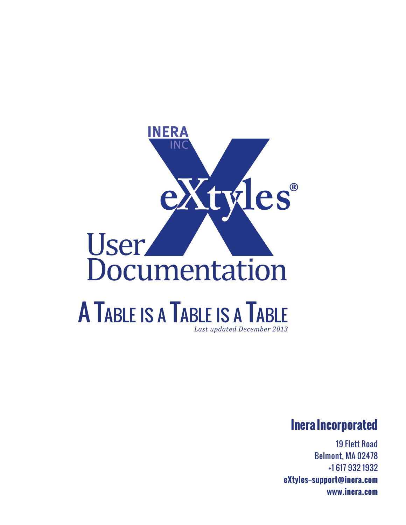

#### **Inera Incorporated**

19 Flett Road Belmont, MA 02478 +1 617 932 1932 **eXtyles—support@inera.com www.inera.com**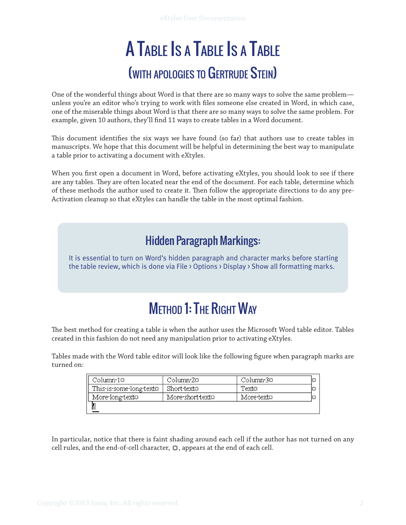# A Table Is a Table Is a Table (with apologies to Gertrude Stein)

One of the wonderful things about Word is that there are so many ways to solve the same problem unless you're an editor who's trying to work with files someone else created in Word, in which case, one of the miserable things about Word is that there are so many ways to solve the same problem. For example, given 10 authors, they'll find 11 ways to create tables in a Word document.

This document identifies the six ways we have found (so far) that authors use to create tables in manuscripts. We hope that this document will be helpful in determining the best way to manipulate a table prior to activating a document with eXtyles.

When you first open a document in Word, before activating eXtyles, you should look to see if there are any tables. They are often located near the end of the document. For each table, determine which of these methods the author used to create it. Then follow the appropriate directions to do any pre-Activation cleanup so that eXtyles can handle the table in the most optimal fashion.

#### Hidden Paragraph Markings:

It is essential to turn on Word's hidden paragraph and character marks before starting the table review, which is done via File > Options > Display > Show all formatting marks.

# **METHOD 1: THE RIGHT WAY**

The best method for creating a table is when the author uses the Microsoft Word table editor. Tables created in this fashion do not need any manipulation prior to activating eXtyles.

Tables made with the Word table editor will look like the following figure when paragraph marks are turned on:

| Column•1¤               | Column 2¤-       | Column 3¤  |  |
|-------------------------|------------------|------------|--|
| This is some long texto | Short texto      | Texto      |  |
| More long text¤         | More-short-text¤ | More texto |  |
|                         |                  |            |  |

In particular, notice that there is faint shading around each cell if the author has not turned on any cell rules, and the end-of-cell character,  $\Omega$ , appears at the end of each cell.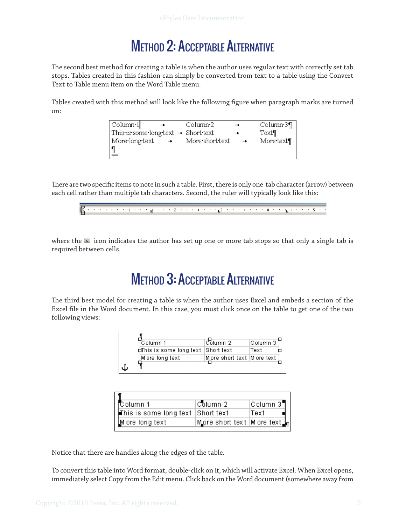# Method 2: Acceptable Alternative

The second best method for creating a table is when the author uses regular text with correctly set tab stops. Tables created in this fashion can simply be converted from text to a table using the Convert Text to Table menu item on the Word Table menu.

Tables created with this method will look like the following figure when paragraph marks are turned on:



There are two specific items to note in such a table. First, there is only one tab character (arrow) between each cell rather than multiple tab characters. Second, the ruler will typically look like this:



where the  $\blacksquare$  icon indicates the author has set up one or more tab stops so that only a single tab is required between cells.

## Method 3: Acceptable Alternative

The third best model for creating a table is when the author uses Excel and embeds a section of the Excel file in the Word document. In this case, you must click once on the table to get one of the two following views:

| Column 1                            | ≀Čolumn 2.                   | Column 3 i |
|-------------------------------------|------------------------------|------------|
| dThis is some long text  Short text |                              | Text       |
| M ore long text                     | More short text   M ore text |            |

| Column 1                                          | Column 2                                        | Column 3 |
|---------------------------------------------------|-------------------------------------------------|----------|
| $\vert$ This is some long text $\vert$ Short text |                                                 | Text     |
| M ore long text                                   | M ore short text   M ore text $ _{\mathsf{H}} $ |          |

Notice that there are handles along the edges of the table.

To convert this table into Word format, double-click on it, which will activate Excel. When Excel opens, immediately select Copy from the Edit menu. Click back on the Word document (somewhere away from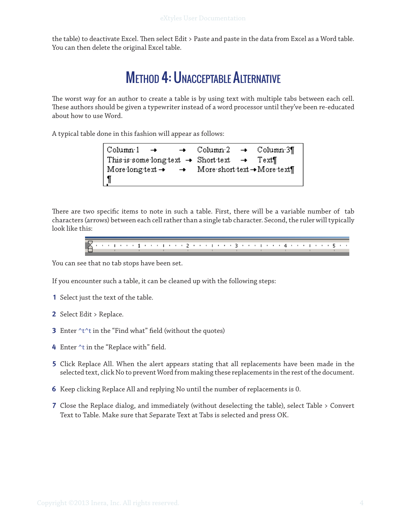the table) to deactivate Excel. Then select Edit > Paste and paste in the data from Excel as a Word table. You can then delete the original Excel table.

### Method 4: Unacceptable Alternative

The worst way for an author to create a table is by using text with multiple tabs between each cell. These authors should be given a typewriter instead of a word processor until they've been re-educated about how to use Word.

A typical table done in this fashion will appear as follows:

 $\operatorname{Column} 1$  $\rightarrow$  $Column2$ Column.3¶ This is some long text  $\rightarrow$  Short text Text¶  $\rightarrow$ More long text  $\rightarrow$ More short text -> More text¶ ſ

There are two specific items to note in such a table. First, there will be a variable number of tab characters (arrows) between each cell rather than a single tab character. Second, the ruler will typically look like this:

> \* \* \* 1 \* \* \* 1 \* \* \* 1 \* \* \* 2 \* \* \* 1 \* \* \* 3 \* \* \* 1 \* \* \* 4 \* \* \* 1 \* \* Б,

You can see that no tab stops have been set.

If you encounter such a table, it can be cleaned up with the following steps:

- **1** Select just the text of the table.
- **2** Select Edit > Replace.
- **3** Enter ^t^t in the "Find what" field (without the quotes)
- **4** Enter ^t in the "Replace with" field.
- **5** Click Replace All. When the alert appears stating that all replacements have been made in the selected text, click No to prevent Word from making these replacements in the rest of the document.
- **6** Keep clicking Replace All and replying No until the number of replacements is 0.
- **7** Close the Replace dialog, and immediately (without deselecting the table), select Table > Convert Text to Table. Make sure that Separate Text at Tabs is selected and press OK.